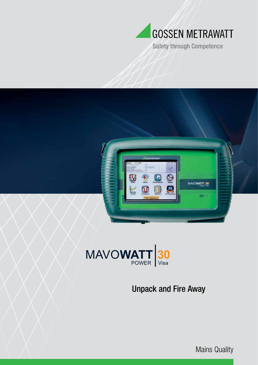

**Safety through Competence** 





## Unpack and Fire Away

Mains Quality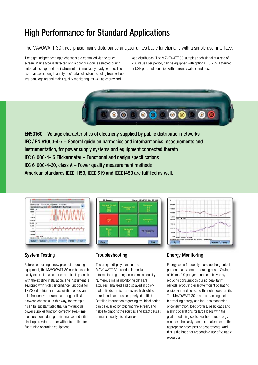### High Performance for Standard Applications

The MAVOWATT 30 three-phase mains disturbance analyzer unites basic functionality with a simple user interface.

The eight independent input channels are controlled via the touchscreen. Mains type is detected and a configuration is selected during automatic setup, and the instrument is immediately ready for use. The user can select length and type of data collection including troubleshooting, data logging and mains quality monitoring, as well as energy and

load distribution. The MAVOWATT 30 samples each signal at a rate of 256 values per period, can be equipped with optional RS 232, Ethernet or USB port and complies with currently valid standards.



EN50160 – Voltage characteristics of electricity supplied by public distribution networks IEC / EN 61000-4-7 – General guide on harmonics and interharmonics measurements and instrumentation, for power supply systems and equipment connected thereto IEC 61000-4-15 Flickermeter – Functional and design specifications IEC 61000-4-30, class A – Power quality measurement methods American standards IEEE 1159, IEEE 519 and IEEE1453 are fulfilled as well.



### Since: 10:34:32, Oct 02 0 **PQ Beport** Fremancy IX **DO Flore** Gear. **TELE**



### System Testing

Before connecting a new piece of operating equipment, the MAVOWATT 30 can be used to easily determine whether or not this is possible with the existing installation. The instrument is equipped with high performance functions for TRMS value triggering, acquisition of low and mid-frequency transients and trigger linking between channels. In this way, for example, it can be substantiated that uninterruptible power supplies function correctly. Real-time measurements during maintenance and initial start-up provide the user with information for fine tuning operating equipment.

#### **Troubleshooting**

The unique display panel at the MAVOWATT 30 provides immediate information regarding on-site mains quality. Numerous mains monitoring data are acquired, analyzed and displayed in colorcoded fields. Critical areas are highlighted in red, and can thus be quickly identified. Detailed information regarding troubleshooting can be queried by touching the screen, and helps to pinpoint the sources and exact causes of mains quality disturbances.

#### Energy Monitoring

Energy costs frequently make up the greatest portion of a system's operating costs. Savings of 10 to 40% per year can be achieved by reducing consumption during peak tariff periods, procuring energy-efficient operating equipment and selecting the right power utility. The MAVOWATT 30 is an outstanding tool for tracking energy and includes monitoring of consumption, load profiles, peak loads and making operations for large loads with the goal of reducing costs. Furthermore, energy costs can be easily traced and allocated to the appropriate processes or departments. And this is the basis for responsible use of valuable resources.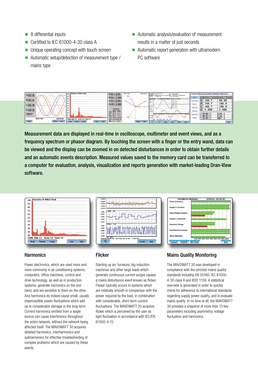- 8 differential inputs
- Certified to IEC 61000-4-30 class A
- **Unique operating concept with touch-screen**
- Automatic setup/detection of measurement type / mains type
- Automatic analysis/evaluation of measurement results in a matter of just seconds
- Automatic report generation with ultramodern PC software



Measurement data are displayed in real-time in oscilloscope, multimeter and event views, and as a frequency spectrum or phasor diagram. By touching the screen with a finger or the entry wand, data can be viewed and the display can be zoomed in on detected disturbances in order to obtain further details and an automatic events description. Measured values saved to the memory card can be transferred to a computer for evaluation, analysis, visualization and reports generation with market-leading Dran-View software.



#### **Harmonics**

Power electronics, which are used more and more commonly in air conditioning systems, computers, office machines, control and drive technology, as well as in production systems, generate harmonics on the one hand, and are sensitive to them on the other. And harmonics do indeed cause small, usually imperceptible power fluctuations which add up to considerable damage in the long-term. Current harmonics emitted from a single source can cause interference throughout the entire network, without the network being affected itself. The MAVOWATT 30 acquires detailed harmonics, interharmonics and subharmonics for effective troubleshooting of complex problems which are caused by these events.



#### **Flicker**

Starting up arc furnaces, big induction machines and other large loads which generate continuous current surges causes a mains disturbance event known as flicker. Flicker typically occurs in systems which are relatively smooth in comparison with the power required by the load, in combination with considerable, short-term current fluctuations. The MAVOWATT 30 acquires flicker which is perceived by the user as light fluctuation in accordance with IEC/EN 61000-4-15.



#### Mains Quality Monitoring

The MAVOWATT 30 was developed in compliance with the strictest mains quality standards including EN 50160, IEC 61000- 4-30 class A and IEEE 1159. A statistical overview is generated in order to quickly check for adherence to international standards regarding supply power quality, and to evaluate mains quality. In no time at all, the MAVOWATT 30 provides a snapshot of more than 13 key parameters including asymmetry, voltage fluctuation and harmonics.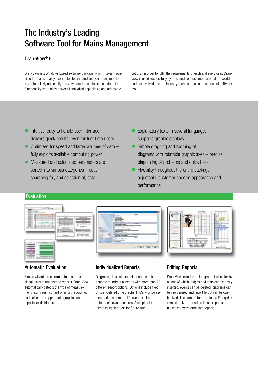## The Industry's Leading Software Tool for Mains Management

#### Dran-View® 6

Dran-View is a Windows based software package which makes it possible for mains quality experts to observe and analyze mains monitoring data quickly and easily. It's very easy to use, includes automated functionality and unites powerful analytical capabilities and adaptable

options, in order to fulfill the requirements of each and every user. Dran-View is used successfully by thousands of customers around the world, and has evolved into the industry's leading mains management software tool.

- Intuitive, easy to handle user interface  $$ delivers quick results, even for first-time users
- $\blacksquare$  Optimized for speed and large volumes of data  $\blacksquare$ fully exploits available computing power
- **Measured and calculated parameters are** sorted into various categories – easy searching for, and selection of, data
- **Explanatory texts in several languages** supports graphic displays
- **Simple dragging and zooming of** diagrams with rotatable graphic axes – precise pinpointing of problems and quick help
- Flexibility throughout the entire package  $$ adjustable, customer-specific appearance and performance

#### Evaluation



#### Automatic Evaluation

Simple wizards transform data into professional, easy to understand reports. Dran-View automatically detects the type of measurement, e.g. inrush current or errors recording, and selects the appropriate graphics and reports for distribution.



Diagrams, data lists and standards can be adapted to individual needs with more than 20 different report options. Options include fixed or user-defined time graphs, ITICs, worst-case summaries and more. It's even possible to enter one's own standards. A simple click identifies each report for future use.

#### Editing Reports

Dran-View includes an integrated text editor by means of which images and texts can be easily inserted, events can be deleted, diagrams can be reorganized and report layout can be customized. The camera function in the Enterprise version makes it possible to insert photos, tables and waveforms into reports.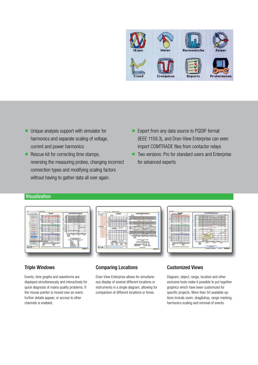

- **Unique analysis support with simulator for** harmonics and separate scaling of voltage, current and power harmonics
- $\blacksquare$  Rescue kit for correcting time stamps, reversing the measuring probes, changing incorrect connection types and modifying scaling factors without having to gather data all over again.
- Export from any data source to PQDIF format (IEEE 1159.3), and Dran-View Enterprise can even import COMTRADE files from contactor relays
- Two versions: Pro for standard users and Enterprise for advanced experts

#### **Visualization**



#### Triple Windows

Events, time graphs and waveforms are displayed simultaneously and interactively for quick diagnosis of mains quality problems. If the mouse pointer is moved over an event, further details appear, or access to other channels is enabled.

#### Comparing Locations

Dran-View Enterprise allows for simultaneous display of several different locations or instruments in a single diagram, allowing for comparison of different locations or times.

#### Customized Views

Diagram, object, range, location and other exclusive tools make it possible to put together graphics which have been customized for specific projects. More than 50 available options include zoom, drag&drop, range marking, harmonics scaling and removal of events.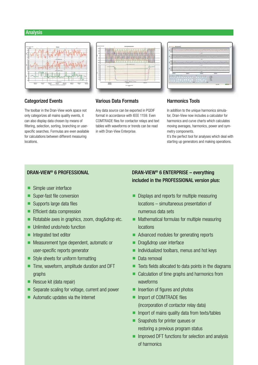#### Analysis



#### Categorized Events

The toolbar in the Dran-View work space not only categorizes all mains quality events, it can also display data chosen by means of filtering, selection, sorting, branching or userspecific searches. Formulas are even available for calculations between different measuring locations.



#### Various Data Formats

Any data source can be exported in PQDIF format in accordance with IEEE 1159. Even COMTRADE files for contactor relays and text tables with waveforms or trends can be read in with Dran-View Enterprise.

### Harmonics Tools

In addition to the unique harmonics simulator, Dran-View now includes a calculator for harmonics and curve charts which calculates moving averages, harmonics, power and symmetry components.

It's the perfect tool for analyses which deal with starting up generators and making operations.

#### DRAN-VIEW® 6 PROFESSIONAL

- Simple user interface
- Super-fast file conversion
- Supports large data files
- **Efficient data compression**
- Rotatable axes in graphics, zoom, drag&drop etc.
- **Unlimited undo/redo function**
- Integrated text editor
- **Measurement type dependent, automatic or** user-specific reports generator
- $\blacksquare$  Style sheets for uniform formatting
- $\blacksquare$  Time, waveform, amplitude duration and DFT graphs
- $\blacksquare$  Rescue kit (data repair)
- Separate scaling for voltage, current and power
- Automatic updates via the Internet

### DRAN-VIEW® 6 ENTERPRISE – everything included in the PROFESSIONAL version plus:

- Displays and reports for multiple measuring locations – simultaneous presentation of numerous data sets
- $\blacksquare$  Mathematical formulas for multiple measuring locations
- Advanced modules for generating reports
- Drag&drop user interface
- Individualized toolbars, menus and hot keys
- Data removal
- Texts fields allocated to data points in the diagrams
- Calculation of time graphs and harmonics from waveforms
- **Insertion of figures and photos**
- **Import of COMTRADE files** (incorporation of contactor relay data)
- $\blacksquare$  Import of mains quality data from texts/tables
- Snapshots for printer queues or restoring a previous program status
- $\blacksquare$  Improved DFT functions for selection and analysis of harmonics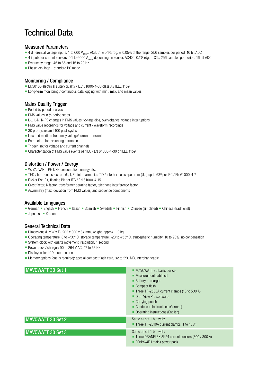## Technical Data

#### Measured Parameters

- 4 differential voltage inputs, 1 to 600 V<sub>TRMS</sub>, AC/DC,  $\pm$  0.1% rdg.  $\pm$  0.05% of the range, 256 samples per period, 16 bit ADC
- 4 inputs for current sensors, 0.1 to 6000 A<sub>TRMS</sub> depending on sensor, AC/DC, 0.1% rdg. + CTs, 256 samples per period, 16 bit ADC
- Frequency range: 45 to 65 and 15 to 20 Hz
- $\blacksquare$  Phase lock loop standard PQ mode

#### Monitoring / Compliance

- EN50160 electrical supply quality / IEC 61000-4-30 class A / IEEE 1159
- **E** Long-term monitoring / continuous data logging with min., max. and mean values

#### Mains Quality Trigger

- $\blacksquare$  Period by period analysis
- RMS values in  $1/2$  period steps
- L-L, L-N, N-PE changes in RMS values: voltage dips, overvoltages, voltage interruptions
- RMS value recordings for voltage and current / waveform recordings
- 30 pre-cycles and 100 post-cycles
- Low and medium frequency voltage/current transients
- **Parameters for evaluating harmonics**
- $\blacksquare$  Trigger link for voltage and current channels
- Characterization of RMS value events per IEC / EN 61000-4-30 or IEEE 1159

#### Distortion / Power / Energy

- W, VA, VAR, TPF, DPF, consumption, energy etc.
- $\blacksquare$  THD / harmonic spectrum (U, I, P), interharmonics TID / interharmonic spectrum (U, I) up to 63<sup>rd</sup> per IEC / EN 61000-4-7
- Flicker Pst, Plt, floating Plt per IEC / EN 61000-4-15
- Crest factor, K factor, transformer derating factor, telephone interference factor
- Asymmetry (max. deviation from RMS values) and sequence components

#### Available Languages

- German English French Italian Spanish Swedish Finnish Chinese (simplified) Chinese (traditional)
- Japanese Korean

#### General Technical Data

- Dimensions (H x W x T): 203 x 300 x 64 mm, weight: approx. 1.9 kg
- Operating temperature: 0 to +50° C, storage temperature: -20 to +55° C, atmospheric humidity: 10 to 90%, no condensation
- System clock with quartz movement, resolution: 1 second
- Power pack / charger: 90 to 264 V AC, 47 to 63 Hz
- Display: color LCD touch-screen
- Memory options (one is required): special compact flash card, 32 to 256 MB, interchangeable

| <b>MAVOWATT 30 Set 1</b> | • MAVOWATT 30 basic device<br>Measurement cable set<br>$Battery + charge$<br>Compact flash<br>Three TR-2500A current clamps (10 to 500 A)<br>Dran View Pro software<br>• Carrying pouch<br>Condensed instructions (German)<br>• Operating instructions (English) |
|--------------------------|------------------------------------------------------------------------------------------------------------------------------------------------------------------------------------------------------------------------------------------------------------------|
| MAVOWATT 30 Set 2        | Same as set 1 but with:<br>$\blacksquare$ Three TR-2510A current clamps (1 to 10 A)                                                                                                                                                                              |
| MAVOWATT 30 Set 3        | Same as set 1 but with:<br>■ Three DRANFLEX 3K24 current sensors (300 / 300 A)<br>• RR/PS/4EU mains power pack                                                                                                                                                   |